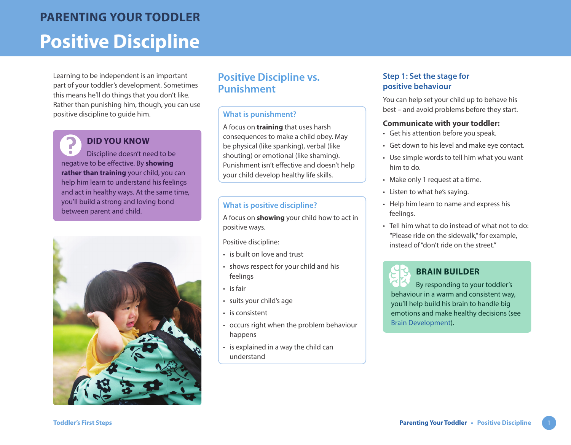Learning to be independent is an important part of your toddler's development. Sometimes this means he'll do things that you don't like. Rather than punishing him, though, you can use positive discipline to guide him.

# **DID YOU KNOW**

Discipline doesn't need to be negative to be effective. By **showing rather than training** your child, you can help him learn to understand his feelings and act in healthy ways. At the same time, you'll build a strong and loving bond between parent and child.



# **Positive Discipline vs. Punishment**

#### **What is punishment?**

A focus on **training** that uses harsh consequences to make a child obey. May be physical (like spanking), verbal (like shouting) or emotional (like shaming). Punishment isn't effective and doesn't help your child develop healthy life skills.

#### **What is positive discipline?**

A focus on **showing** your child how to act in positive ways.

Positive discipline:

- is built on love and trust
- shows respect for your child and his feelings
- is fair
- suits your child's age
- is consistent
- occurs right when the problem behaviour happens
- is explained in a way the child can understand

# **Step 1: Set the stage for positive behaviour**

You can help set your child up to behave his best – and avoid problems before they start.

#### **Communicate with your toddler:**

- Get his attention before you speak.
- Get down to his level and make eye contact.
- Use simple words to tell him what you want him to do.
- Make only 1 request at a time.
- Listen to what he's saying.
- Help him learn to name and express his feelings.
- Tell him what to do instead of what not to do: "Please ride on the sidewalk," for example, instead of "don't ride on the street"



# **BRAIN BUILDER**

By responding to your toddler's behaviour in a warm and consistent way, you'll help build his brain to handle big emotions and make healthy decisions (see [Brain Development\)](https://www.healthlinkbc.ca/sites/default/files/documents/TFS_brain-development.pdf).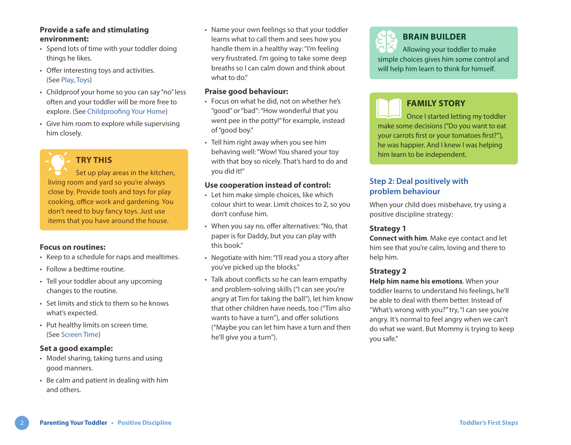#### **Provide a safe and stimulating environment:**

- Spend lots of time with your toddler doing things he likes.
- Offer interesting toys and activities. (See [Play,](https://www.healthlinkbc.ca/sites/default/files/documents/TFS_play.pdf) [Toys\)](https://www.healthlinkbc.ca/sites/default/files/documents/TFS_toys.pdf)
- Childproof your home so you can say "no" less often and your toddler will be more free to explore. (See [Childproofing Your Home](https://www.healthlinkbc.ca/sites/default/files/documents/TFS_childproofing.pdf))
- Give him room to explore while supervising him closely.

**TRY THIS**

Set up play areas in the kitchen, living room and yard so you're always close by. Provide tools and toys for play cooking, office work and gardening. You don't need to buy fancy toys. Just use items that you have around the house.

#### **Focus on routines:**

- Keep to a schedule for naps and mealtimes.
- Follow a bedtime routine.
- Tell your toddler about any upcoming changes to the routine.
- Set limits and stick to them so he knows what's expected.
- Put healthy limits on screen time. (See [Screen Time](https://www.healthlinkbc.ca/sites/default/files/documents/TFS_screen-time.pdf))

#### **Set a good example:**

- Model sharing, taking turns and using good manners.
- Be calm and patient in dealing with him and others.

• Name your own feelings so that your toddler learns what to call them and sees how you handle them in a healthy way: "I'm feeling very frustrated. I'm going to take some deep breaths so I can calm down and think about what to do."

#### **Praise good behaviour:**

- Focus on what he did, not on whether he's "good" or "bad": "How wonderful that you went pee in the potty!" for example, instead of "good boy."
- Tell him right away when you see him behaving well: "Wow! You shared your toy with that boy so nicely. That's hard to do and you did it!"

#### **Use cooperation instead of control:**

- Let him make simple choices, like which colour shirt to wear. Limit choices to 2, so you don't confuse him.
- When you say no, offer alternatives: "No, that paper is for Daddy, but you can play with this book."
- Negotiate with him: "I'll read you a story after you've picked up the blocks."
- Talk about conflicts so he can learn empathy and problem-solving skills ("I can see you're angry at Tim for taking the ball"), let him know that other children have needs, too ("Tim also wants to have a turn"), and offer solutions ("Maybe you can let him have a turn and then he'll give you a turn").

# **BRAIN BUILDER**

Allowing your toddler to make simple choices gives him some control and will help him learn to think for himself.

# **FAMILY STORY**

Once I started letting my toddler make some decisions ("Do you want to eat your carrots first or your tomatoes first?"), he was happier. And I knew I was helping him learn to be independent.

### **Step 2: Deal positively with problem behaviour**

When your child does misbehave, try using a positive discipline strategy:

#### **Strategy 1**

**Connect with him**. Make eye contact and let him see that you're calm, loving and there to help him.

#### **Strategy 2**

**Help him name his emotions**. When your toddler learns to understand his feelings, he'll be able to deal with them better. Instead of "What's wrong with you?" try, "I can see you're angry. It's normal to feel angry when we can't do what we want. But Mommy is trying to keep you safe."